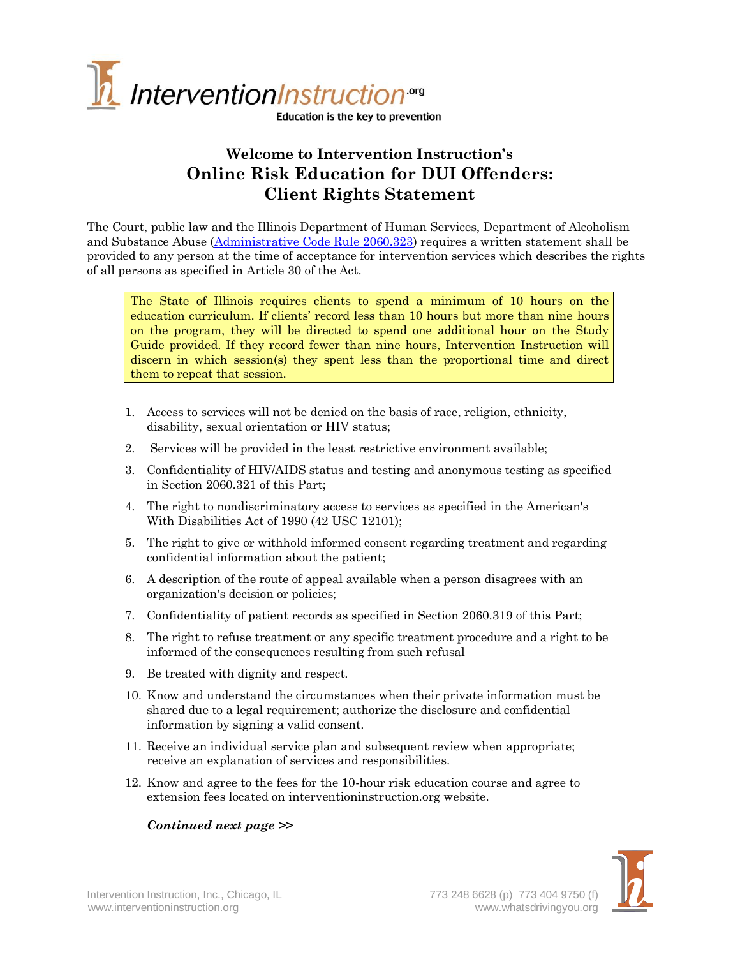

Education is the key to prevention

## **Welcome to Intervention Instruction's Online Risk Education for DUI Offenders: Client Rights Statement**

The Court, public law and the Illinois Department of Human Services, Department of Alcoholism and Substance Abuse [\(Administrative Code Rule 2060.323\)](http://www.ilga.gov/commission/jcar/admincode/077/077020600C03230R.html) requires a written statement shall be provided to any person at the time of acceptance for intervention services which describes the rights of all persons as specified in Article 30 of the Act.

The State of Illinois requires clients to spend a minimum of 10 hours on the education curriculum. If clients' record less than 10 hours but more than nine hours on the program, they will be directed to spend one additional hour on the Study Guide provided. If they record fewer than nine hours, Intervention Instruction will discern in which session(s) they spent less than the proportional time and direct them to repeat that session.

- 1. Access to services will not be denied on the basis of race, religion, ethnicity, disability, sexual orientation or HIV status;
- 2. Services will be provided in the least restrictive environment available;
- 3. Confidentiality of HIV/AIDS status and testing and anonymous testing as specified in Section 2060.321 of this Part;
- 4. The right to nondiscriminatory access to services as specified in the American's With Disabilities Act of 1990 (42 USC 12101);
- 5. The right to give or withhold informed consent regarding treatment and regarding confidential information about the patient;
- 6. A description of the route of appeal available when a person disagrees with an organization's decision or policies;
- 7. Confidentiality of patient records as specified in Section 2060.319 of this Part;
- 8. The right to refuse treatment or any specific treatment procedure and a right to be informed of the consequences resulting from such refusal
- 9. Be treated with dignity and respect.
- 10. Know and understand the circumstances when their private information must be shared due to a legal requirement; authorize the disclosure and confidential information by signing a valid consent.
- 11. Receive an individual service plan and subsequent review when appropriate; receive an explanation of services and responsibilities.
- 12. Know and agree to the fees for the 10-hour risk education course and agree to extension fees located on interventioninstruction.org website.

## *Continued next page >>*